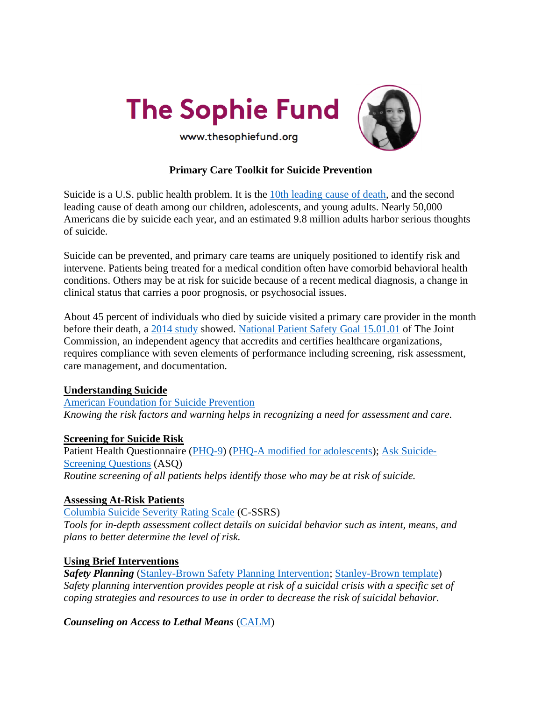



# **Primary Care Toolkit for Suicide Prevention**

Suicide is a U.S. public health problem. It is the [10th leading cause of death,](https://www.cdc.gov/injury/images/lc-charts/leading_causes_of_death_by_age_group_2018_1100w850h.jpg) and the second leading cause of death among our children, adolescents, and young adults. Nearly 50,000 Americans die by suicide each year, and an estimated 9.8 million adults harbor serious thoughts of suicide.

Suicide can be prevented, and primary care teams are uniquely positioned to identify risk and intervene. Patients being treated for a medical condition often have comorbid behavioral health conditions. Others may be at risk for suicide because of a recent medical diagnosis, a change in clinical status that carries a poor prognosis, or psychosocial issues.

About 45 percent of individuals who died by suicide visited a primary care provider in the month before their death, a [2014 study](https://www.ncbi.nlm.nih.gov/pmc/articles/PMC4026491/) showed. [National Patient Safety Goal](https://www.jointcommission.org/-/media/tjc/documents/standards/r3-reports/r3_18_suicide_prevention_hap_bhc_cah_11_4_19_final1.pdf) 15.01.01 of The Joint Commission, an independent agency that accredits and certifies healthcare organizations, requires compliance with seven elements of performance including screening, risk assessment, care management, and documentation.

#### **Understanding Suicide**

[American Foundation for Suicide Prevention](https://afsp.org/risk-factors-protective-factors-and-warning-signs) *Knowing the risk factors and warning helps in recognizing a need for assessment and care.*

## **Screening for Suicide Risk**

Patient Health Questionnaire [\(PHQ-9\)](https://www.apa.org/depression-guideline/patient-health-questionnaire.pdf) [\(PHQ-A modified for adolescents\)](https://www.aacap.org/App_Themes/AACAP/docs/member_resources/toolbox_for_clinical_practice_and_outcomes/symptoms/GLAD-PC_PHQ-9.pdf); [Ask Suicide-](https://www.nimh.nih.gov/research/research-conducted-at-nimh/asq-toolkit-materials)[Screening Questions](https://www.nimh.nih.gov/research/research-conducted-at-nimh/asq-toolkit-materials) (ASQ) *Routine screening of all patients helps identify those who may be at risk of suicide.*

## **Assessing At-Risk Patients**

[Columbia Suicide Severity Rating Scale](https://cssrs.columbia.edu/) (C-SSRS)

*Tools for in-depth assessment collect details on suicidal behavior such as intent, means, and plans to better determine the level of risk.*

## **Using Brief Interventions**

**Safety Planning** [\(Stanley-Brown Safety Planning Intervention;](https://suicidesafetyplan.com/) [Stanley-Brown template\)](http://bgg.11b.myftpupload.com/wp-content/uploads/2021/08/Stanley-Brown-Safety-Plan-8-6-21.pdf) *Safety planning intervention provides people at risk of a suicidal crisis with a specific set of coping strategies and resources to use in order to decrease the risk of suicidal behavior.*

*Counseling on Access to Lethal Means* [\(CALM\)](https://www.sprc.org/resources-programs/calm-counseling-access-lethal-means)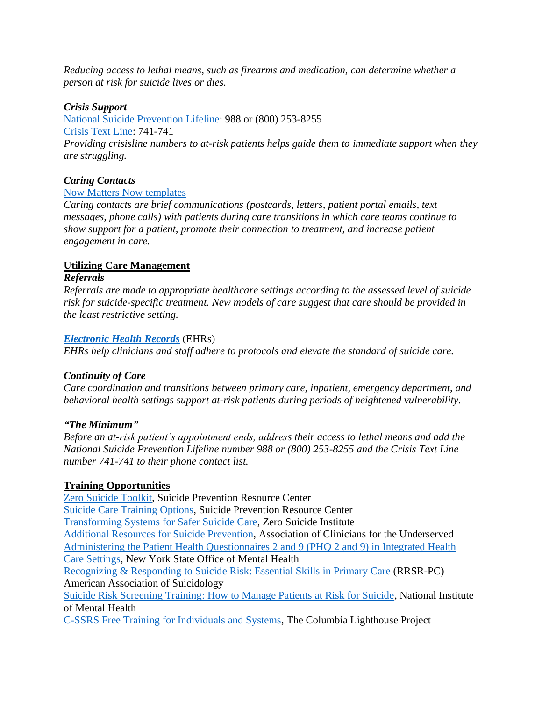*Reducing access to lethal means, such as firearms and medication, can determine whether a person at risk for suicide lives or dies.*

### *Crisis Support*

[National Suicide Prevention Lifeline:](https://suicidepreventionlifeline.org/) 988 or (800) 253-8255 [Crisis Text Line:](https://www.crisistextline.org/) 741-741 *Providing crisisline numbers to at-risk patients helps guide them to immediate support when they are struggling.*

### *Caring Contacts*

### [Now Matters Now](https://zerosuicide.edc.org/sites/default/files/nowmmattersnow.pdf) templates

*Caring contacts are brief communications (postcards, letters, patient portal emails, text messages, phone calls) with patients during care transitions in which care teams continue to show support for a patient, promote their connection to treatment, and increase patient engagement in care.*

## **Utilizing Care Management**

#### *Referrals*

*Referrals are made to appropriate healthcare settings according to the assessed level of suicide risk for suicide-specific treatment. New models of care suggest that care should be provided in the least restrictive setting.*

#### *[Electronic Health Records](https://zerosuicide.edc.org/toolkit/engage)* (EHRs)

*EHRs help clinicians and staff adhere to protocols and elevate the standard of suicide care.*

#### *Continuity of Care*

*Care coordination and transitions between primary care, inpatient, emergency department, and behavioral health settings support at-risk patients during periods of heightened vulnerability.*

#### *"The Minimum"*

*Before an at-risk patient's appointment ends, address their access to lethal means and add the National Suicide Prevention Lifeline number 988 or (800) 253-8255 and the Crisis Text Line number 741-741 to their phone contact list.*

#### **Training Opportunities**

[Zero Suicide Toolkit,](http://zerosuicide.sprc.org/toolkit) Suicide Prevention Resource Center [Suicide Care Training Options,](https://zerosuicide.edc.org/sites/default/files/2020-11/2020.11.18%20Suicide%20Care%20Training%20Options_0.pdf) Suicide Prevention Resource Center [Transforming Systems for Safer Suicide Care,](https://solutions.edc.org/solutions/zero-suicide-institute) Zero Suicide Institute Additional Resources [for Suicide Prevention,](https://clinicians.org/additional-resources-for-suicide-prevention/) Association of Clinicians for the Underserved [Administering the Patient Health Questionnaires 2 and 9 \(PHQ 2 and 9\) in Integrated Health](https://www.health.ny.gov/health_care/medicaid/redesign/dsrip/2016-07-01_phq_2_and_9_clean.htm)  [Care Settings,](https://www.health.ny.gov/health_care/medicaid/redesign/dsrip/2016-07-01_phq_2_and_9_clean.htm) New York State Office of Mental Health [Recognizing & Responding to Suicide Risk: Essential Skills](https://suicidology.org/training-accreditation/rrsr-primary-care/) in Primary Care (RRSR-PC) American Association of Suicidology [Suicide Risk Screening Training: How to Manage Patients at Risk for Suicide,](https://www.nimh.nih.gov/news/media/2019/suicide-risk-screening-training-how-to-manage-patients-at-risk-for-suicide) National Institute of Mental Health [C-SSRS Free Training for Individuals and Systems,](https://cssrs.columbia.edu/training/training-options/) The Columbia Lighthouse Project